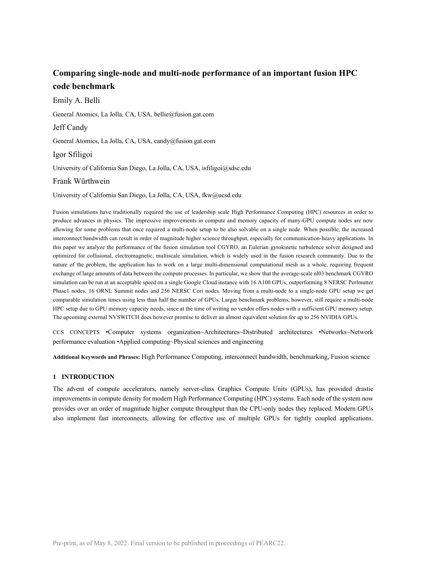# **Comparing single-node and multi-node performance of an important fusion HPC code benchmark**

Emily A. Belli General Atomics, La Jolla, CA, USA, bellie@fusion.gat.com Jeff Candy General Atomics, La Jolla, CA, USA, candy@fusion.gat.com Igor Sfiligoi University of California San Diego, La Jolla, CA, USA, isfiligoi@sdsc.edu Frank Würthwein University of California San Diego, La Jolla, CA, USA, fkw@ucsd.edu

Fusion simulations have traditionally required the use of leadership scale High Performance Computing (HPC) resources in order to produce advances in physics. The impressive improvements in compute and memory capacity of many-GPU compute nodes are now allowing for some problems that once required a multi-node setup to be also solvable on a single node. When possible, the increased interconnect bandwidth can result in order of magnitude higher science throughput, especially for communication-heavy applications. In this paper we analyze the performance of the fusion simulation tool CGYRO, an Eulerian gyrokinetic turbulence solver designed and optimized for collisional, electromagnetic, multiscale simulation, which is widely used in the fusion research community. Due to the nature of the problem, the application has to work on a large multi-dimensional computational mesh as a whole, requiring frequent exchange of large amounts of data between the compute processes. In particular, we show that the average-scale nl03 benchmark CGYRO simulation can be run at an acceptable speed on a single Google Cloud instance with 16 A100 GPUs, outperforming 8 NERSC Perlmutter Phase1 nodes, 16 ORNL Summit nodes and 256 NERSC Cori nodes. Moving from a multi-node to a single-node GPU setup we get comparable simulation times using less than half the number of GPUs. Larger benchmark problems, however, still require a multi-node HPC setup due to GPU memory capacity needs, since at the time of writing no vendor offers nodes with a sufficient GPU memory setup. The upcoming external NVSWITCH does however promise to deliver an almost equivalent solution for up to 256 NVIDIA GPUs.

CCS CONCEPTS •Computer systems organization~Architectures~Distributed architectures •Networks~Network performance evaluation •Applied computing~Physical sciences and engineering

**Additional Keywords and Phrases:** High Performance Computing, interconnect bandwidth, benchmarking, Fusion science

### **1 INTRODUCTION**

The advent of compute accelerators, namely server-class Graphics Compute Units (GPUs), has provided drastic improvements in compute density for modern High Performance Computing (HPC) systems. Each node of the system now provides over an order of magnitude higher compute throughput than the CPU-only nodes they replaced. Modern GPUs also implement fast interconnects, allowing for effective use of multiple GPUs for tightly coupled applications.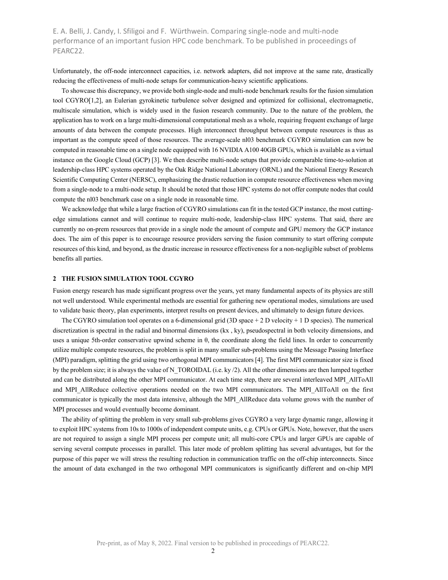Unfortunately, the off-node interconnect capacities, i.e. network adapters, did not improve at the same rate, drastically reducing the effectiveness of multi-node setups for communication-heavy scientific applications.

To showcase this discrepancy, we provide both single-node and multi-node benchmark results for the fusion simulation tool CGYRO[1,2], an Eulerian gyrokinetic turbulence solver designed and optimized for collisional, electromagnetic, multiscale simulation, which is widely used in the fusion research community. Due to the nature of the problem, the application has to work on a large multi-dimensional computational mesh as a whole, requiring frequent exchange of large amounts of data between the compute processes. High interconnect throughput between compute resources is thus as important as the compute speed of those resources. The average-scale nl03 benchmark CGYRO simulation can now be computed in reasonable time on a single node equipped with 16 NVIDIA A100 40GB GPUs, which is available as a virtual instance on the Google Cloud (GCP) [3]. We then describe multi-node setups that provide comparable time-to-solution at leadership-class HPC systems operated by the Oak Ridge National Laboratory (ORNL) and the National Energy Research Scientific Computing Center (NERSC), emphasizing the drastic reduction in compute resource effectiveness when moving from a single-node to a multi-node setup. It should be noted that those HPC systems do not offer compute nodes that could compute the nl03 benchmark case on a single node in reasonable time.

We acknowledge that while a large fraction of CGYRO simulations can fit in the tested GCP instance, the most cuttingedge simulations cannot and will continue to require multi-node, leadership-class HPC systems. That said, there are currently no on-prem resources that provide in a single node the amount of compute and GPU memory the GCP instance does. The aim of this paper is to encourage resource providers serving the fusion community to start offering compute resources of this kind, and beyond, as the drastic increase in resource effectiveness for a non-negligible subset of problems benefits all parties.

## **2 THE FUSION SIMULATION TOOL CGYRO**

Fusion energy research has made significant progress over the years, yet many fundamental aspects of its physics are still not well understood. While experimental methods are essential for gathering new operational modes, simulations are used to validate basic theory, plan experiments, interpret results on present devices, and ultimately to design future devices.

The CGYRO simulation tool operates on a 6-dimensional grid (3D space  $+ 2$  D velocity  $+ 1$  D species). The numerical discretization is spectral in the radial and binormal dimensions (kx , ky), pseudospectral in both velocity dimensions, and uses a unique 5th-order conservative upwind scheme in θ, the coordinate along the field lines. In order to concurrently utilize multiple compute resources, the problem is split in many smaller sub-problems using the Message Passing Interface (MPI) paradigm, splitting the grid using two orthogonal MPI communicators [4]. The first MPI communicator size is fixed by the problem size; it is always the value of N\_TOROIDAL (i.e. ky  $/2$ ). All the other dimensions are then lumped together and can be distributed along the other MPI communicator. At each time step, there are several interleaved MPI\_AllToAll and MPI\_AllReduce collective operations needed on the two MPI communicators. The MPI\_AllToAll on the first communicator is typically the most data intensive, although the MPI\_AllReduce data volume grows with the number of MPI processes and would eventually become dominant.

The ability of splitting the problem in very small sub-problems gives CGYRO a very large dynamic range, allowing it to exploit HPC systems from 10s to 1000s of independent compute units, e.g. CPUs or GPUs. Note, however, that the users are not required to assign a single MPI process per compute unit; all multi-core CPUs and larger GPUs are capable of serving several compute processes in parallel. This later mode of problem splitting has several advantages, but for the purpose of this paper we will stress the resulting reduction in communication traffic on the off-chip interconnects. Since the amount of data exchanged in the two orthogonal MPI communicators is significantly different and on-chip MPI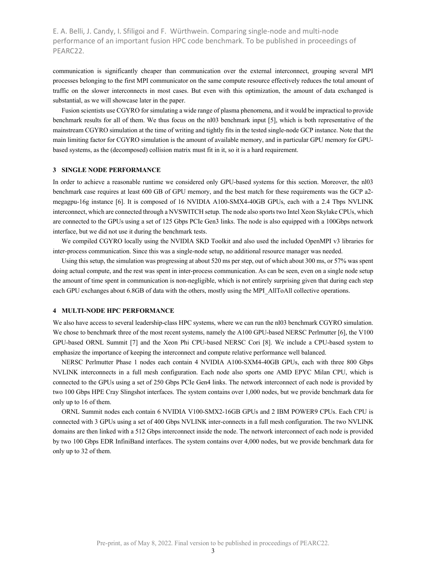communication is significantly cheaper than communication over the external interconnect, grouping several MPI processes belonging to the first MPI communicator on the same compute resource effectively reduces the total amount of traffic on the slower interconnects in most cases. But even with this optimization, the amount of data exchanged is substantial, as we will showcase later in the paper.

Fusion scientists use CGYRO for simulating a wide range of plasma phenomena, and it would be impractical to provide benchmark results for all of them. We thus focus on the nl03 benchmark input [5], which is both representative of the mainstream CGYRO simulation at the time of writing and tightly fits in the tested single-node GCP instance. Note that the main limiting factor for CGYRO simulation is the amount of available memory, and in particular GPU memory for GPUbased systems, as the (decomposed) collision matrix must fit in it, so it is a hard requirement.

## **3 SINGLE NODE PERFORMANCE**

In order to achieve a reasonable runtime we considered only GPU-based systems for this section. Moreover, the nl03 benchmark case requires at least 600 GB of GPU memory, and the best match for these requirements was the GCP a2 megagpu-16g instance [6]. It is composed of 16 NVIDIA A100-SMX4-40GB GPUs, each with a 2.4 Tbps NVLINK interconnect, which are connected through a NVSWITCH setup. The node also sports two Intel Xeon Skylake CPUs, which are connected to the GPUs using a set of 125 Gbps PCIe Gen3 links. The node is also equipped with a 100Gbps network interface, but we did not use it during the benchmark tests.

We compiled CGYRO locally using the NVIDIA SKD Toolkit and also used the included OpenMPI v3 libraries for inter-process communication. Since this was a single-node setup, no additional resource manager was needed.

Using this setup, the simulation was progressing at about 520 ms per step, out of which about 300 ms, or 57% was spent doing actual compute, and the rest was spent in inter-process communication. As can be seen, even on a single node setup the amount of time spent in communication is non-negligible, which is not entirely surprising given that during each step each GPU exchanges about 6.8GB of data with the others, mostly using the MPI\_AllToAll collective operations.

## **4 MULTI-NODE HPC PERFORMANCE**

We also have access to several leadership-class HPC systems, where we can run the nl03 benchmark CGYRO simulation. We chose to benchmark three of the most recent systems, namely the A100 GPU-based NERSC Perlmutter [6], the V100 GPU-based ORNL Summit [7] and the Xeon Phi CPU-based NERSC Cori [8]. We include a CPU-based system to emphasize the importance of keeping the interconnect and compute relative performance well balanced.

NERSC Perlmutter Phase 1 nodes each contain 4 NVIDIA A100-SXM4-40GB GPUs, each with three 800 Gbps NVLINK interconnects in a full mesh configuration. Each node also sports one AMD EPYC Milan CPU, which is connected to the GPUs using a set of 250 Gbps PCIe Gen4 links. The network interconnect of each node is provided by two 100 Gbps HPE Cray Slingshot interfaces. The system contains over 1,000 nodes, but we provide benchmark data for only up to 16 of them.

ORNL Summit nodes each contain 6 NVIDIA V100-SMX2-16GB GPUs and 2 IBM POWER9 CPUs. Each CPU is connected with 3 GPUs using a set of 400 Gbps NVLINK inter-connects in a full mesh configuration. The two NVLINK domains are then linked with a 512 Gbps interconnect inside the node. The network interconnect of each node is provided by two 100 Gbps EDR InfiniBand interfaces. The system contains over 4,000 nodes, but we provide benchmark data for only up to 32 of them.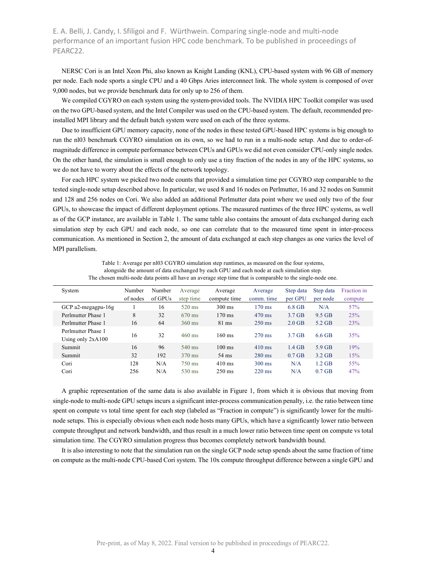NERSC Cori is an Intel Xeon Phi, also known as Knight Landing (KNL), CPU-based system with 96 GB of memory per node. Each node sports a single CPU and a 40 Gbps Aries interconnect link. The whole system is composed of over 9,000 nodes, but we provide benchmark data for only up to 256 of them.

We compiled CGYRO on each system using the system-provided tools. The NVIDIA HPC Toolkit compiler was used on the two GPU-based system, and the Intel Compiler was used on the CPU-based system. The default, recommended preinstalled MPI library and the default batch system were used on each of the three systems.

Due to insufficient GPU memory capacity, none of the nodes in these tested GPU-based HPC systems is big enough to run the nl03 benchmark CGYRO simulation on its own, so we had to run in a multi-node setup. And due to order-ofmagnitude difference in compute performance between CPUs and GPUs we did not even consider CPU-only single nodes. On the other hand, the simulation is small enough to only use a tiny fraction of the nodes in any of the HPC systems, so we do not have to worry about the effects of the network topology.

For each HPC system we picked two node counts that provided a simulation time per CGYRO step comparable to the tested single-node setup described above. In particular, we used 8 and 16 nodes on Perlmutter, 16 and 32 nodes on Summit and 128 and 256 nodes on Cori. We also added an additional Perlmutter data point where we used only two of the four GPUs, to showcase the impact of different deployment options. The measured runtimes of the three HPC systems, as well as of the GCP instance, are available in Table 1. The same table also contains the amount of data exchanged during each simulation step by each GPU and each node, so one can correlate that to the measured time spent in inter-process communication. As mentioned in Section 2, the amount of data exchanged at each step changes as one varies the level of MPI parallelism.

| The chosen multi-node data points all have an average step time that is comparable to the single-node one. |                    |                   |                      |                         |                       |                      |                       |                        |
|------------------------------------------------------------------------------------------------------------|--------------------|-------------------|----------------------|-------------------------|-----------------------|----------------------|-----------------------|------------------------|
| System                                                                                                     | Number<br>of nodes | Number<br>of GPUs | Average<br>step time | Average<br>compute time | Average<br>comm. time | Step data<br>per GPU | Step data<br>per node | Fraction in<br>compute |
| GCP $a2$ -megagpu-16g                                                                                      |                    | 16                | $520 \text{ ms}$     | $300 \text{ ms}$        | $170 \text{ ms}$      | 6.8 GB               | N/A                   | 57%                    |
| Perlmutter Phase 1                                                                                         | 8                  | 32                | $670 \text{ ms}$     | $170 \text{ ms}$        | $470 \text{ ms}$      | $3.7$ GB             | 9.5 GB                | 25%                    |
| Perlmutter Phase 1                                                                                         | 16                 | 64                | $360 \text{ ms}$     | $81 \text{ ms}$         | $250 \text{ ms}$      | $2.0$ GB             | $5.2$ GB              | 23%                    |
| Perlmutter Phase 1<br>Using only $2xA100$                                                                  | 16                 | 32                | $460 \text{ ms}$     | $160 \text{ ms}$        | $270 \text{ ms}$      | 3.7 GB               | 6.6 GB                | 35%                    |
| Summit                                                                                                     | 16                 | 96                | $540 \text{ ms}$     | $100 \text{ ms}$        | $410 \text{ ms}$      | $1.4$ GB             | $5.9$ GB              | 19%                    |
| Summit                                                                                                     | 32                 | 192               | 370 ms               | $54 \text{ ms}$         | $280 \text{ ms}$      | $0.7$ GB             | $3.2$ GB              | 15%                    |
| Cori                                                                                                       | 128                | N/A               | $750 \text{ ms}$     | $410 \text{ ms}$        | $300 \text{ ms}$      | N/A                  | $1.2$ GB              | 55%                    |
| Cori                                                                                                       | 256                | N/A               | $530 \text{ ms}$     | $250 \text{ ms}$        | $220 \text{ ms}$      | N/A                  | $0.7$ GB              | 47%                    |

Table 1: Average per nl03 CGYRO simulation step runtimes, as measured on the four systems, alongside the amount of data exchanged by each GPU and each node at each simulation step.

A graphic representation of the same data is also available in Figure 1, from which it is obvious that moving from single-node to multi-node GPU setups incurs a significant inter-process communication penalty, i.e. the ratio between time spent on compute vs total time spent for each step (labeled as "Fraction in compute") is significantly lower for the multinode setups. This is especially obvious when each node hosts many GPUs, which have a significantly lower ratio between compute throughput and network bandwidth, and thus result in a much lower ratio between time spent on compute vs total simulation time. The CGYRO simulation progress thus becomes completely network bandwidth bound.

It is also interesting to note that the simulation run on the single GCP node setup spends about the same fraction of time on compute as the multi-node CPU-based Cori system. The 10x compute throughput difference between a single GPU and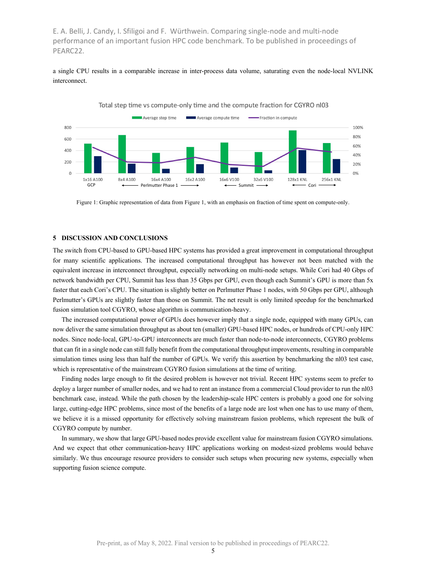a single CPU results in a comparable increase in inter-process data volume, saturating even the node-local NVLINK interconnect.



Figure 1: Graphic representation of data from Figure 1, with an emphasis on fraction of time spent on compute-only.

### **5 DISCUSSION AND CONCLUSIONS**

The switch from CPU-based to GPU-based HPC systems has provided a great improvement in computational throughput for many scientific applications. The increased computational throughput has however not been matched with the equivalent increase in interconnect throughput, especially networking on multi-node setups. While Cori had 40 Gbps of network bandwidth per CPU, Summit has less than 35 Gbps per GPU, even though each Summit's GPU is more than 5x faster that each Cori's CPU. The situation is slightly better on Perlmutter Phase 1 nodes, with 50 Gbps per GPU, although Perlmutter's GPUs are slightly faster than those on Summit. The net result is only limited speedup for the benchmarked fusion simulation tool CGYRO, whose algorithm is communication-heavy.

The increased computational power of GPUs does however imply that a single node, equipped with many GPUs, can now deliver the same simulation throughput as about ten (smaller) GPU-based HPC nodes, or hundreds of CPU-only HPC nodes. Since node-local, GPU-to-GPU interconnects are much faster than node-to-node interconnects, CGYRO problems that can fit in a single node can still fully benefit from the computational throughput improvements, resulting in comparable simulation times using less than half the number of GPUs. We verify this assertion by benchmarking the nl03 test case, which is representative of the mainstream CGYRO fusion simulations at the time of writing.

Finding nodes large enough to fit the desired problem is however not trivial. Recent HPC systems seem to prefer to deploy a larger number of smaller nodes, and we had to rent an instance from a commercial Cloud provider to run the nl03 benchmark case, instead. While the path chosen by the leadership-scale HPC centers is probably a good one for solving large, cutting-edge HPC problems, since most of the benefits of a large node are lost when one has to use many of them, we believe it is a missed opportunity for effectively solving mainstream fusion problems, which represent the bulk of CGYRO compute by number.

In summary, we show that large GPU-based nodes provide excellent value for mainstream fusion CGYRO simulations. And we expect that other communication-heavy HPC applications working on modest-sized problems would behave similarly. We thus encourage resource providers to consider such setups when procuring new systems, especially when supporting fusion science compute.